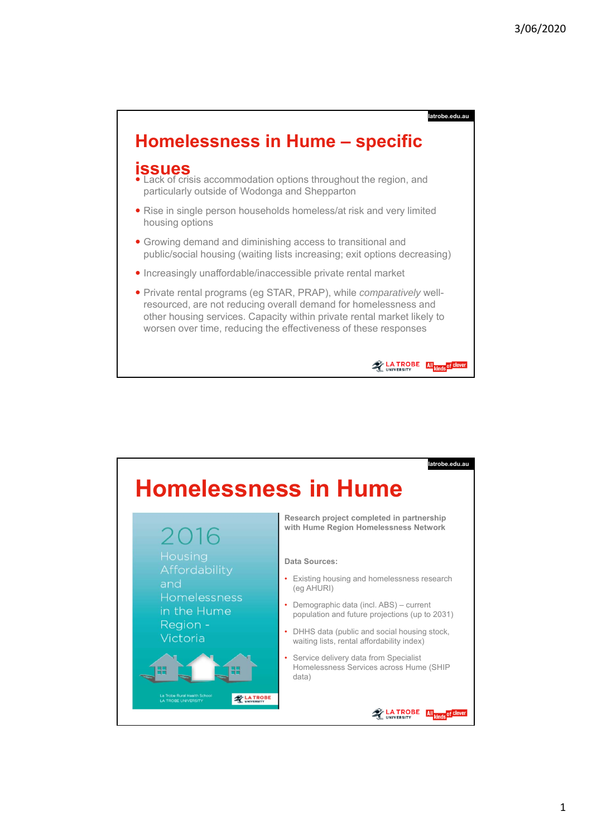**latrobe.edu.au**

**EXPLATROBE All** kinds of Cle

## **Homelessness in Hume – specific**

## **issues**

- Lack of crisis accommodation options throughout the region, and particularly outside of Wodonga and Shepparton
- Rise in single person households homeless/at risk and very limited housing options
- Growing demand and diminishing access to transitional and public/social housing (waiting lists increasing; exit options decreasing)
- Increasingly unaffordable/inaccessible private rental market
- Private rental programs (eg STAR, PRAP), while *comparatively* wellresourced, are not reducing overall demand for homelessness and other housing services. Capacity within private rental market likely to worsen over time, reducing the effectiveness of these responses

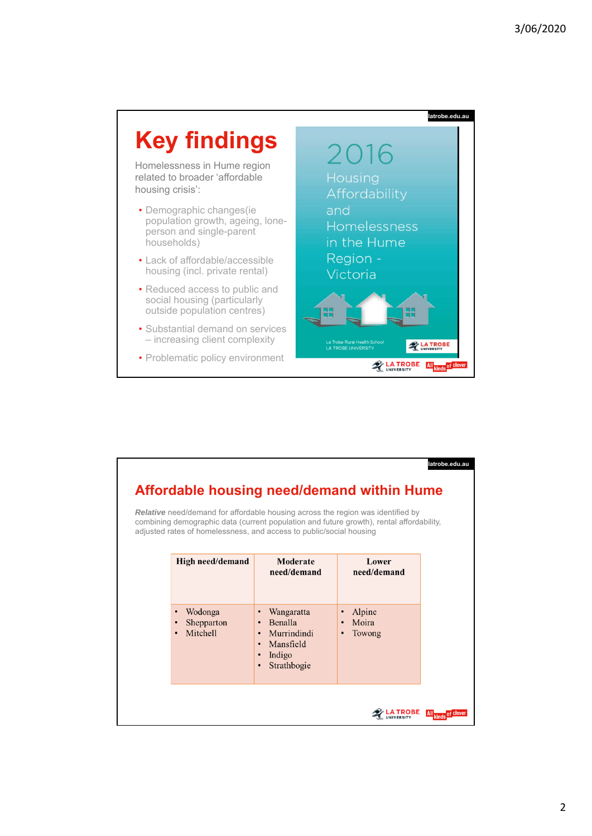

| latrobe.edu.au<br>Affordable housing need/demand within Hume<br><b>Relative</b> need/demand for affordable housing across the region was identified by<br>combining demographic data (current population and future growth), rental affordability,<br>adjusted rates of homelessness, and access to public/social housing |                                                |                                                                                                                                             |                                                     |           |
|---------------------------------------------------------------------------------------------------------------------------------------------------------------------------------------------------------------------------------------------------------------------------------------------------------------------------|------------------------------------------------|---------------------------------------------------------------------------------------------------------------------------------------------|-----------------------------------------------------|-----------|
|                                                                                                                                                                                                                                                                                                                           | High need/demand                               | Moderate<br>need/demand                                                                                                                     | Lower<br>need/demand                                |           |
|                                                                                                                                                                                                                                                                                                                           | Wodonga<br>Shepparton<br>Mitchell<br>$\bullet$ | Wangaratta<br>$\bullet$<br>Benalla<br>Murrindindi<br>$\bullet$<br>Mansfield<br>$\bullet$<br>Indigo<br>$\bullet$<br>Strathbogie<br>$\bullet$ | Alpine<br>$\bullet$<br>Moira<br>$\bullet$<br>Towong |           |
|                                                                                                                                                                                                                                                                                                                           |                                                |                                                                                                                                             |                                                     | of clever |

## 2